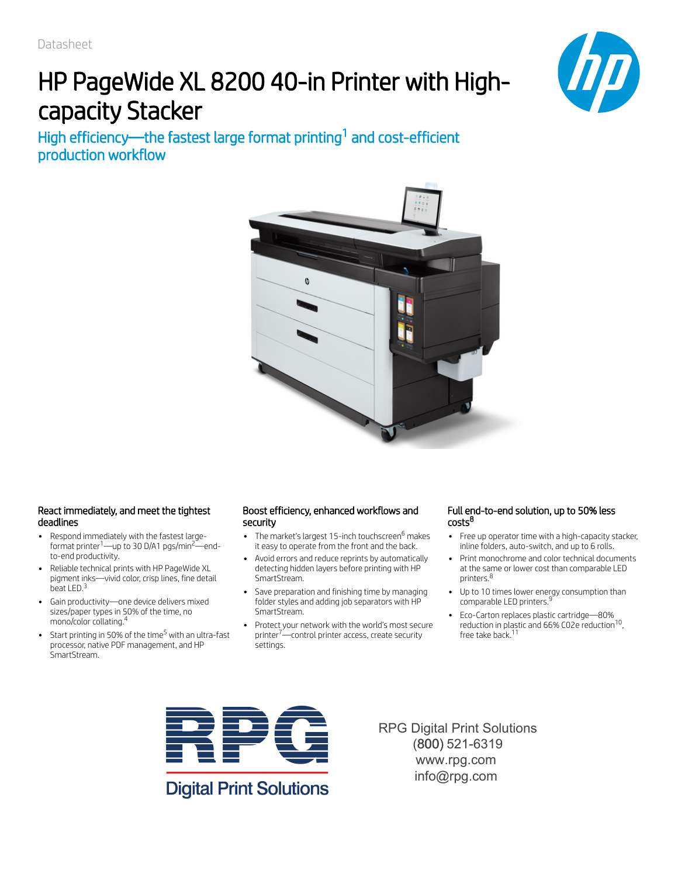# HP PageWide XL 8200 40-in Printer with Highcapacity Stacker



High efficiency—the fastest large format printing $^1$  and cost-efficient production workflow



### React immediately, and meet the tightest deadlines

- Respond immediately with the fastest large- $\bullet$ format printer $\left[-\text{up to } 30 \text{ D/A1 } \text{pgs/min}^2\right]$  endto-end productivity.
- Reliable technical prints with HP PageWide XL  $\bullet$ pigment inks—vivid color, crisp lines, fine detail beat LED.<sup>3</sup>
- Gain productivity—one device delivers mixed sizes/paper types in 50% of the time, no mono/color collating. 4
- Start printing in 50% of the time<sup>5</sup> with an ultra-fast  $\bullet$ processor, native PDF management, and HP SmartStream.

### Boost efficiency, enhanced workflows and security

- The market's largest 15-inch touchscreen<sup>6</sup> makes it easy to operate from the front and the back.
- Avoid errors and reduce reprints by automatically detecting hidden layers before printing with HP SmartStream.
- Save preparation and finishing time by managing folder styles and adding job separators with HP SmartStream.
- Protect your network with the world's most secure printer<sup>7</sup>—control printer access, create security settings.

### Full end-to-end solution, up to 50% less costs 8

- Free up operator time with a high-capacity stacker, inline folders, auto-switch, and up to 6 rolls.
- Print monochrome and color technical documents at the same or lower cost than comparable LED printers. 8
- Up to 10 times lower energy consumption than comparable LED printers.<sup>9</sup>
- Eco-Carton replaces plastic cartridge—80% reduction in plastic and  $66\%$  C02e reduction<sup>10</sup>, free take back.<sup>11</sup>



**Digital Print Solutions** 

RPG Digital Print Solutions (800) 521-6319 www.rpg.com info@rpg.com